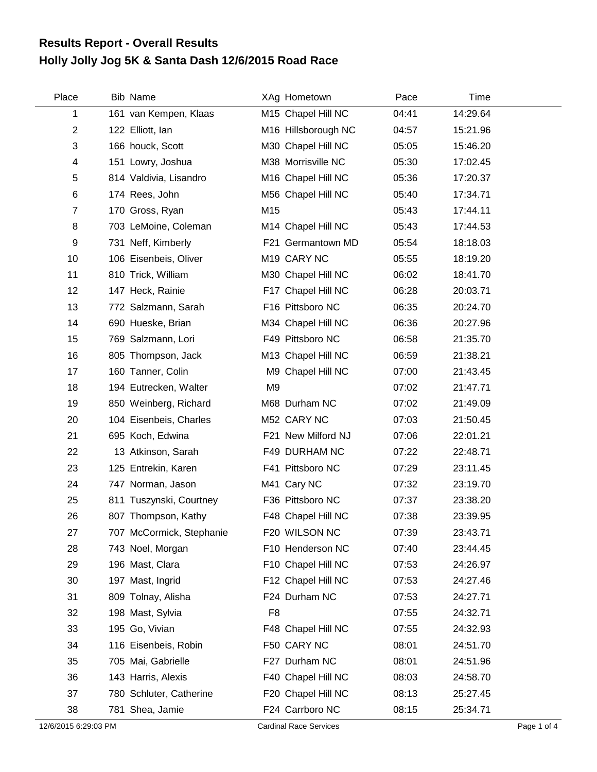## **Holly Jolly Jog 5K & Santa Dash 12/6/2015 Road Race Results Report - Overall Results**

| Place          | <b>Bib Name</b>          |                | XAg Hometown        | Pace  | Time     |
|----------------|--------------------------|----------------|---------------------|-------|----------|
| 1              | 161 van Kempen, Klaas    |                | M15 Chapel Hill NC  | 04:41 | 14:29.64 |
| $\overline{c}$ | 122 Elliott, Ian         |                | M16 Hillsborough NC | 04:57 | 15:21.96 |
| 3              | 166 houck, Scott         |                | M30 Chapel Hill NC  | 05:05 | 15:46.20 |
| 4              | 151 Lowry, Joshua        |                | M38 Morrisville NC  | 05:30 | 17:02.45 |
| 5              | 814 Valdivia, Lisandro   |                | M16 Chapel Hill NC  | 05:36 | 17:20.37 |
| 6              | 174 Rees, John           |                | M56 Chapel Hill NC  | 05:40 | 17:34.71 |
| $\overline{7}$ | 170 Gross, Ryan          | M15            |                     | 05:43 | 17:44.11 |
| 8              | 703 LeMoine, Coleman     |                | M14 Chapel Hill NC  | 05:43 | 17:44.53 |
| 9              | 731 Neff, Kimberly       |                | F21 Germantown MD   | 05:54 | 18:18.03 |
| 10             | 106 Eisenbeis, Oliver    |                | M19 CARY NC         | 05:55 | 18:19.20 |
| 11             | 810 Trick, William       |                | M30 Chapel Hill NC  | 06:02 | 18:41.70 |
| 12             | 147 Heck, Rainie         |                | F17 Chapel Hill NC  | 06:28 | 20:03.71 |
| 13             | 772 Salzmann, Sarah      |                | F16 Pittsboro NC    | 06:35 | 20:24.70 |
| 14             | 690 Hueske, Brian        |                | M34 Chapel Hill NC  | 06:36 | 20:27.96 |
| 15             | 769 Salzmann, Lori       |                | F49 Pittsboro NC    | 06:58 | 21:35.70 |
| 16             | 805 Thompson, Jack       |                | M13 Chapel Hill NC  | 06:59 | 21:38.21 |
| 17             | 160 Tanner, Colin        |                | M9 Chapel Hill NC   | 07:00 | 21:43.45 |
| 18             | 194 Eutrecken, Walter    | M <sub>9</sub> |                     | 07:02 | 21:47.71 |
| 19             | 850 Weinberg, Richard    |                | M68 Durham NC       | 07:02 | 21:49.09 |
| 20             | 104 Eisenbeis, Charles   |                | M52 CARY NC         | 07:03 | 21:50.45 |
| 21             | 695 Koch, Edwina         |                | F21 New Milford NJ  | 07:06 | 22:01.21 |
| 22             | 13 Atkinson, Sarah       |                | F49 DURHAM NC       | 07:22 | 22:48.71 |
| 23             | 125 Entrekin, Karen      |                | F41 Pittsboro NC    | 07:29 | 23:11.45 |
| 24             | 747 Norman, Jason        |                | M41 Cary NC         | 07:32 | 23:19.70 |
| 25             | 811 Tuszynski, Courtney  |                | F36 Pittsboro NC    | 07:37 | 23:38.20 |
| 26             | 807 Thompson, Kathy      |                | F48 Chapel Hill NC  | 07:38 | 23:39.95 |
| 27             | 707 McCormick, Stephanie |                | F20 WILSON NC       | 07:39 | 23:43.71 |
| 28             | 743 Noel, Morgan         |                | F10 Henderson NC    | 07:40 | 23:44.45 |
| 29             | 196 Mast, Clara          |                | F10 Chapel Hill NC  | 07:53 | 24:26.97 |
| 30             | 197 Mast, Ingrid         |                | F12 Chapel Hill NC  | 07:53 | 24:27.46 |
| 31             | 809 Tolnay, Alisha       |                | F24 Durham NC       | 07:53 | 24:27.71 |
| 32             | 198 Mast, Sylvia         | F <sub>8</sub> |                     | 07:55 | 24:32.71 |
| 33             | 195 Go, Vivian           |                | F48 Chapel Hill NC  | 07:55 | 24:32.93 |
| 34             | 116 Eisenbeis, Robin     |                | F50 CARY NC         | 08:01 | 24:51.70 |
| 35             | 705 Mai, Gabrielle       |                | F27 Durham NC       | 08:01 | 24:51.96 |
| 36             | 143 Harris, Alexis       |                | F40 Chapel Hill NC  | 08:03 | 24:58.70 |
| 37             | 780 Schluter, Catherine  |                | F20 Chapel Hill NC  | 08:13 | 25:27.45 |
| 38             | 781 Shea, Jamie          |                | F24 Carrboro NC     | 08:15 | 25:34.71 |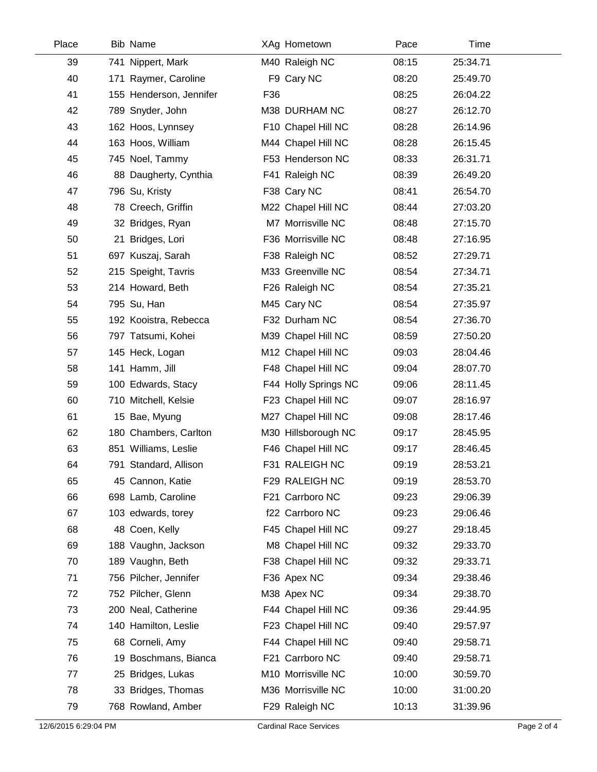| Place | <b>Bib Name</b>         |     | XAg Hometown         | Pace  | Time     |
|-------|-------------------------|-----|----------------------|-------|----------|
| 39    | 741 Nippert, Mark       |     | M40 Raleigh NC       | 08:15 | 25:34.71 |
| 40    | 171 Raymer, Caroline    |     | F9 Cary NC           | 08:20 | 25:49.70 |
| 41    | 155 Henderson, Jennifer | F36 |                      | 08:25 | 26:04.22 |
| 42    | 789 Snyder, John        |     | M38 DURHAM NC        | 08:27 | 26:12.70 |
| 43    | 162 Hoos, Lynnsey       |     | F10 Chapel Hill NC   | 08:28 | 26:14.96 |
| 44    | 163 Hoos, William       |     | M44 Chapel Hill NC   | 08:28 | 26:15.45 |
| 45    | 745 Noel, Tammy         |     | F53 Henderson NC     | 08:33 | 26:31.71 |
| 46    | 88 Daugherty, Cynthia   |     | F41 Raleigh NC       | 08:39 | 26:49.20 |
| 47    | 796 Su, Kristy          |     | F38 Cary NC          | 08:41 | 26:54.70 |
| 48    | 78 Creech, Griffin      |     | M22 Chapel Hill NC   | 08:44 | 27:03.20 |
| 49    | 32 Bridges, Ryan        |     | M7 Morrisville NC    | 08:48 | 27:15.70 |
| 50    | 21 Bridges, Lori        |     | F36 Morrisville NC   | 08:48 | 27:16.95 |
| 51    | 697 Kuszaj, Sarah       |     | F38 Raleigh NC       | 08:52 | 27:29.71 |
| 52    | 215 Speight, Tavris     |     | M33 Greenville NC    | 08:54 | 27:34.71 |
| 53    | 214 Howard, Beth        |     | F26 Raleigh NC       | 08:54 | 27:35.21 |
| 54    | 795 Su, Han             |     | M45 Cary NC          | 08:54 | 27:35.97 |
| 55    | 192 Kooistra, Rebecca   |     | F32 Durham NC        | 08:54 | 27:36.70 |
| 56    | 797 Tatsumi, Kohei      |     | M39 Chapel Hill NC   | 08:59 | 27:50.20 |
| 57    | 145 Heck, Logan         |     | M12 Chapel Hill NC   | 09:03 | 28:04.46 |
| 58    | 141 Hamm, Jill          |     | F48 Chapel Hill NC   | 09:04 | 28:07.70 |
| 59    | 100 Edwards, Stacy      |     | F44 Holly Springs NC | 09:06 | 28:11.45 |
| 60    | 710 Mitchell, Kelsie    |     | F23 Chapel Hill NC   | 09:07 | 28:16.97 |
| 61    | 15 Bae, Myung           |     | M27 Chapel Hill NC   | 09:08 | 28:17.46 |
| 62    | 180 Chambers, Carlton   |     | M30 Hillsborough NC  | 09:17 | 28:45.95 |
| 63    | 851 Williams, Leslie    |     | F46 Chapel Hill NC   | 09:17 | 28:46.45 |
| 64    | 791 Standard, Allison   |     | F31 RALEIGH NC       | 09:19 | 28:53.21 |
| 65    | 45 Cannon, Katie        |     | F29 RALEIGH NC       | 09:19 | 28:53.70 |
| 66    | 698 Lamb, Caroline      |     | F21 Carrboro NC      | 09:23 | 29:06.39 |
| 67    | 103 edwards, torey      |     | f22 Carrboro NC      | 09:23 | 29:06.46 |
| 68    | 48 Coen, Kelly          |     | F45 Chapel Hill NC   | 09:27 | 29:18.45 |
| 69    | 188 Vaughn, Jackson     |     | M8 Chapel Hill NC    | 09:32 | 29:33.70 |
| 70    | 189 Vaughn, Beth        |     | F38 Chapel Hill NC   | 09:32 | 29:33.71 |
| 71    | 756 Pilcher, Jennifer   |     | F36 Apex NC          | 09:34 | 29:38.46 |
| 72    | 752 Pilcher, Glenn      |     | M38 Apex NC          | 09:34 | 29:38.70 |
| 73    | 200 Neal, Catherine     |     | F44 Chapel Hill NC   | 09:36 | 29:44.95 |
| 74    | 140 Hamilton, Leslie    |     | F23 Chapel Hill NC   | 09:40 | 29:57.97 |
| 75    | 68 Corneli, Amy         |     | F44 Chapel Hill NC   | 09:40 | 29:58.71 |
| 76    | 19 Boschmans, Bianca    |     | F21 Carrboro NC      | 09:40 | 29:58.71 |
| 77    | 25 Bridges, Lukas       |     | M10 Morrisville NC   | 10:00 | 30:59.70 |
| 78    | 33 Bridges, Thomas      |     | M36 Morrisville NC   | 10:00 | 31:00.20 |
| 79    | 768 Rowland, Amber      |     | F29 Raleigh NC       | 10:13 | 31:39.96 |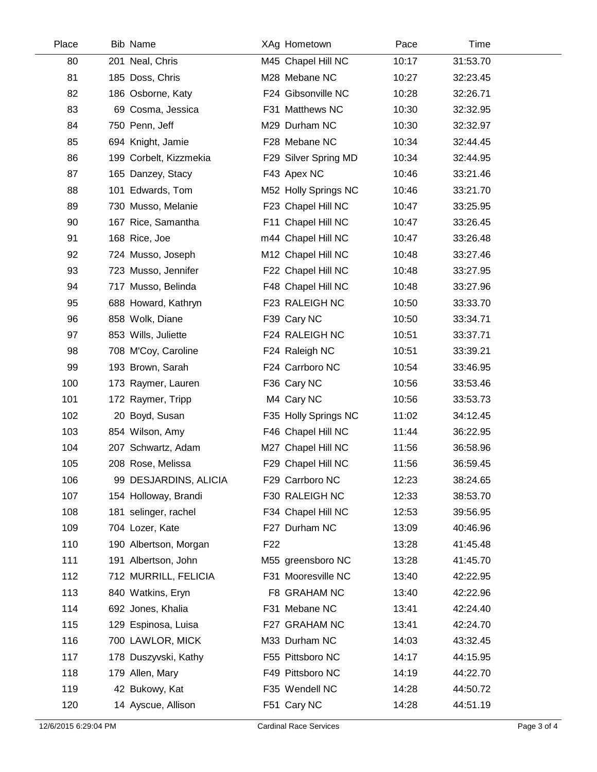| Place | <b>Bib Name</b>        |                 | XAg Hometown         | Pace  | Time     |  |
|-------|------------------------|-----------------|----------------------|-------|----------|--|
| 80    | 201 Neal, Chris        |                 | M45 Chapel Hill NC   | 10:17 | 31:53.70 |  |
| 81    | 185 Doss, Chris        |                 | M28 Mebane NC        | 10:27 | 32:23.45 |  |
| 82    | 186 Osborne, Katy      |                 | F24 Gibsonville NC   | 10:28 | 32:26.71 |  |
| 83    | 69 Cosma, Jessica      |                 | F31 Matthews NC      | 10:30 | 32:32.95 |  |
| 84    | 750 Penn, Jeff         |                 | M29 Durham NC        | 10:30 | 32:32.97 |  |
| 85    | 694 Knight, Jamie      |                 | F28 Mebane NC        | 10:34 | 32:44.45 |  |
| 86    | 199 Corbelt, Kizzmekia |                 | F29 Silver Spring MD | 10:34 | 32:44.95 |  |
| 87    | 165 Danzey, Stacy      |                 | F43 Apex NC          | 10:46 | 33:21.46 |  |
| 88    | 101 Edwards, Tom       |                 | M52 Holly Springs NC | 10:46 | 33:21.70 |  |
| 89    | 730 Musso, Melanie     |                 | F23 Chapel Hill NC   | 10:47 | 33:25.95 |  |
| 90    | 167 Rice, Samantha     |                 | F11 Chapel Hill NC   | 10:47 | 33:26.45 |  |
| 91    | 168 Rice, Joe          |                 | m44 Chapel Hill NC   | 10:47 | 33:26.48 |  |
| 92    | 724 Musso, Joseph      |                 | M12 Chapel Hill NC   | 10:48 | 33:27.46 |  |
| 93    | 723 Musso, Jennifer    |                 | F22 Chapel Hill NC   | 10:48 | 33:27.95 |  |
| 94    | 717 Musso, Belinda     |                 | F48 Chapel Hill NC   | 10:48 | 33:27.96 |  |
| 95    | 688 Howard, Kathryn    |                 | F23 RALEIGH NC       | 10:50 | 33:33.70 |  |
| 96    | 858 Wolk, Diane        |                 | F39 Cary NC          | 10:50 | 33:34.71 |  |
| 97    | 853 Wills, Juliette    |                 | F24 RALEIGH NC       | 10:51 | 33:37.71 |  |
| 98    | 708 M'Coy, Caroline    |                 | F24 Raleigh NC       | 10:51 | 33:39.21 |  |
| 99    | 193 Brown, Sarah       |                 | F24 Carrboro NC      | 10:54 | 33:46.95 |  |
| 100   | 173 Raymer, Lauren     |                 | F36 Cary NC          | 10:56 | 33:53.46 |  |
| 101   | 172 Raymer, Tripp      |                 | M4 Cary NC           | 10:56 | 33:53.73 |  |
| 102   | 20 Boyd, Susan         |                 | F35 Holly Springs NC | 11:02 | 34:12.45 |  |
| 103   | 854 Wilson, Amy        |                 | F46 Chapel Hill NC   | 11:44 | 36:22.95 |  |
| 104   | 207 Schwartz, Adam     |                 | M27 Chapel Hill NC   | 11:56 | 36:58.96 |  |
| 105   | 208 Rose, Melissa      |                 | F29 Chapel Hill NC   | 11:56 | 36:59.45 |  |
| 106   | 99 DESJARDINS, ALICIA  |                 | F29 Carrboro NC      | 12:23 | 38:24.65 |  |
| 107   | 154 Holloway, Brandi   |                 | F30 RALEIGH NC       | 12:33 | 38:53.70 |  |
| 108   | 181 selinger, rachel   |                 | F34 Chapel Hill NC   | 12:53 | 39:56.95 |  |
| 109   | 704 Lozer, Kate        |                 | F27 Durham NC        | 13:09 | 40:46.96 |  |
| 110   | 190 Albertson, Morgan  | F <sub>22</sub> |                      | 13:28 | 41:45.48 |  |
| 111   | 191 Albertson, John    |                 | M55 greensboro NC    | 13:28 | 41:45.70 |  |
| 112   | 712 MURRILL, FELICIA   |                 | F31 Mooresville NC   | 13:40 | 42:22.95 |  |
| 113   | 840 Watkins, Eryn      |                 | F8 GRAHAM NC         | 13:40 | 42:22.96 |  |
| 114   | 692 Jones, Khalia      |                 | F31 Mebane NC        | 13:41 | 42:24.40 |  |
| 115   | 129 Espinosa, Luisa    |                 | F27 GRAHAM NC        | 13:41 | 42:24.70 |  |
| 116   | 700 LAWLOR, MICK       |                 | M33 Durham NC        | 14:03 | 43:32.45 |  |
| 117   | 178 Duszyvski, Kathy   |                 | F55 Pittsboro NC     | 14:17 | 44:15.95 |  |
| 118   | 179 Allen, Mary        |                 | F49 Pittsboro NC     | 14:19 | 44:22.70 |  |
| 119   | 42 Bukowy, Kat         |                 | F35 Wendell NC       | 14:28 | 44:50.72 |  |
| 120   | 14 Ayscue, Allison     |                 | F51 Cary NC          | 14:28 | 44:51.19 |  |